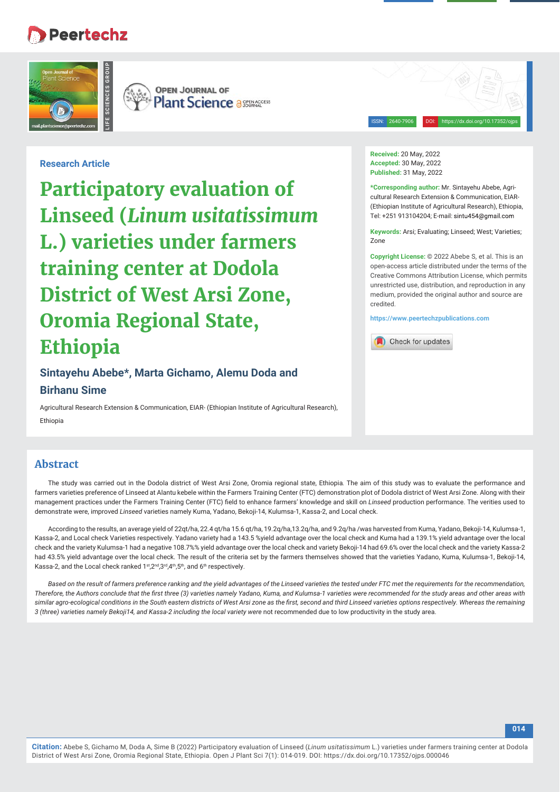# **Peertechz**



**OPEN JOURNAL OF Plant Science a SEERACCESS** 

ISSN: 2640-7906 DOI: https://dx.doi.org/10.17352/ojps

# **Research Article**

**Participatory evaluation of Linseed (***Linum usitatissimum* **L.) varieties under farmers training center at Dodola District of West Arsi Zone, Oromia Regional State, Ethiopia**

**Sintayehu Abebe\*, Marta Gichamo, Alemu Doda and Birhanu Sime** 

Agricultural Research Extension & Communication, EIAR- (Ethiopian Institute of Agricultural Research), Ethiopia

#### **Received:** 20 May, 2022 **Accepted:** 30 May, 2022 **Published:** 31 May, 2022

**\*Corresponding author:** Mr. Sintayehu Abebe, Agricultural Research Extension & Communication, EIAR- (Ethiopian Institute of Agricultural Research), Ethiopia, Tel: +251 913104204; E-mail:

**Keywords:** Arsi; Evaluating; Linseed; West; Varieties; Zone

**Copyright License:** © 2022 Abebe S, et al. This is an open-access article distributed under the terms of the Creative Commons Attribution License, which permits unrestricted use, distribution, and reproduction in any medium, provided the original author and source are credited.

**https://www.peertechzpublications.com**

Check for updates

# **Abstract**

The study was carried out in the Dodola district of West Arsi Zone, Oromia regional state, Ethiopia*.* The aim of this study was to evaluate the performance and farmers varieties preference of Linseed at Alantu kebele within the Farmers Training Center (FTC) demonstration plot of Dodola district of West Arsi Zone. Along with their management practices under the Farmers Training Center (FTC) field to enhance farmers' knowledge and skill on *Linseed* production performance. The verities used to demonstrate were, improved *Linseed* varieties namely Kuma, Yadano, Bekoji-14, Kulumsa-1, Kassa-2, and Local check.

According to the results, an average yield of 22qt/ha, 22.4 qt/ha 15.6 qt/ha, 19.2q/ha,13.2q/ha, and 9.2q/ha /was harvested from Kuma, Yadano, Bekoji-14, Kulumsa-1, Kassa-2, and Local check Varieties respectively. Yadano variety had a 143.5 %yield advantage over the local check and Kuma had a 139.1% yield advantage over the local check and the variety Kulumsa-1 had a negative 108.7%% yield advantage over the local check and variety Bekoji-14 had 69.6% over the local check and the variety Kassa-2 had 43.5% yield advantage over the local check. The result of the criteria set by the farmers themselves showed that the varieties Yadano, Kuma, Kulumsa-1, Bekoji-14, Kassa-2, and the Local check ranked 1st, 2<sup>nd</sup>, 3<sup>rd</sup>, 4<sup>th</sup>, 5<sup>th</sup>, and 6<sup>th</sup> respectively.

*Based on the result of farmers preference ranking and the yield advantages of the Linseed varieties the tested under FTC met the requirements for the recommendation,*  Therefore, the Authors conclude that the first three (3) varieties namely Yadano, Kuma, and Kulumsa-1 varieties were recommended for the study areas and other areas with similar agro-ecological conditions in the South eastern districts of West Arsi zone as the first, second and third Linseed varieties options respectively. Whereas the remaining 3 (three) varieties namely Bekoji14, and Kassa-2 including the local variety were not recommended due to low productivity in the study area.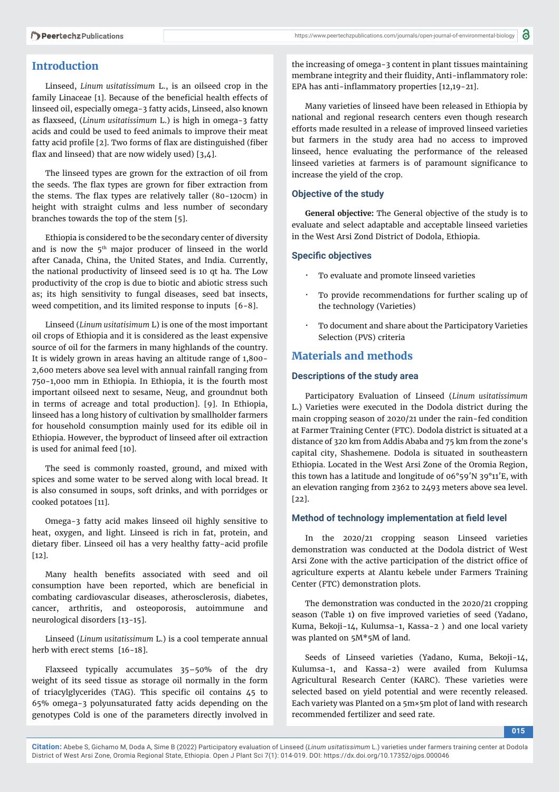### **Introduction**

Linseed, *Linum usitatissimum* L., is an oilseed crop in the family Linaceae [1]. Because of the beneficial health effects of linseed oil, especially omega-3 fatty acids, Linseed, also known as flaxseed, (*Linum usitatissimum L*.) is high in omega-3 fatty acids and could be used to feed animals to improve their meat fatty acid profile [2]. Two forms of flax are distinguished (fiber flax and linseed) that are now widely used)  $[3,4]$ .

The linseed types are grown for the extraction of oil from the seeds. The flax types are grown for fiber extraction from the stems. The flax types are relatively taller  $(80-120cm)$  in height with straight culms and less number of secondary branches towards the top of the stem [5].

Ethiopia is considered to be the secondary center of diversity and is now the 5<sup>th</sup> major producer of linseed in the world after Canada, China, the United States, and India. Currently, the national productivity of linseed seed is 10 qt ha. The Low productivity of the crop is due to biotic and abiotic stress such as; its high sensitivity to fungal diseases, seed bat insects, weed competition, and its limited response to inputs [6-8].

Linseed (*Linum usitatisimum* L) is one of the most important oil crops of Ethiopia and it is considered as the least expensive source of oil for the farmers in many highlands of the country. It is widely grown in areas having an altitude range of 1,800- 2,600 meters above sea level with annual rainfall ranging from 750-1,000 mm in Ethiopia. In Ethiopia, it is the fourth most important oilseed next to sesame, Neug, and groundnut both in terms of acreage and total production]. [9]. In Ethiopia, linseed has a long history of cultivation by smallholder farmers for household consumption mainly used for its edible oil in Ethiopia. However, the byproduct of linseed after oil extraction is used for animal feed [10].

The seed is commonly roasted, ground, and mixed with spices and some water to be served along with local bread. It is also consumed in soups, soft drinks, and with porridges or cooked potatoes [11].

Omega-3 fatty acid makes linseed oil highly sensitive to heat, oxygen, and light. Linseed is rich in fat, protein, and dietary fiber. Linseed oil has a very healthy fatty-acid profile  $[12]$ .

Many health benefits associated with seed and oil consumption have been reported, which are beneficial in combating cardiovascular diseases, atherosclerosis, diabetes, cancer, arthritis, and osteoporosis, autoimmune and neurological disorders [13-15].

Linseed (*Linum usitatissimum* L.) is a cool temperate annual herb with erect stems [16-18].

Flaxseed typically accumulates 35–50% of the dry weight of its seed tissue as storage oil normally in the form of triacylglycerides (TAG). This specific oil contains 45 to 65% omega-3 polyunsaturated fatty acids depending on the genotypes Cold is one of the parameters directly involved in the increasing of omega-3 content in plant tissues maintaining membrane integrity and their fluidity, Anti-inflammatory role: EPA has anti-inflammatory properties  $[12,19-21]$ .

Many varieties of linseed have been released in Ethiopia by national and regional research centers even though research efforts made resulted in a release of improved linseed varieties but farmers in the study area had no access to improved linseed, hence evaluating the performance of the released linseed varieties at farmers is of paramount significance to increase the yield of the crop.

### **Objective of the study**

**General objective:** The General objective of the study is to evaluate and select adaptable and acceptable linseed varieties in the West Arsi Zond District of Dodola, Ethiopia.

#### **Specific objectives**

- To evaluate and promote linseed varieties
- · To provide recommendations for further scaling up of the technology (Varieties)
- To document and share about the Participatory Varieties Selection (PVS) criteria

# **Materials and methods**

### **Descriptions of the study area**

Participatory Evaluation of Linseed (*Linum usitatissimum* L.) Varieties were executed in the Dodola district during the main cropping season of 2020/21 under the rain-fed condition at Farmer Training Center (FTC). Dodola district is situated at a distance of 320 km from Addis Ababa and 75 km from the zone's capital city, Shashemene. Dodola is situated in southeastern Ethiopia. Located in the West Arsi Zone of the Oromia Region, this town has a latitude and longitude of 06°59′N 39°11′E, with an elevation ranging from 2362 to 2493 meters above sea level. [22].

### **Method of technology implementation at field level**

In the 2020/21 cropping season Linseed varieties demonstration was conducted at the Dodola district of West Arsi Zone with the active participation of the district office of agriculture experts at Alantu kebele under Farmers Training Center (FTC) demonstration plots.

The demonstration was conducted in the 2020/21 cropping season (Table 1) on five improved varieties of seed (Yadano, Kuma, Bekoji-14, Kulumsa-1, Kassa-2 ) and one local variety was planted on 5M\*5M of land.

Seeds of Linseed varieties (Yadano, Kuma, Bekoji-14, Kulumsa-1, and Kassa-2) were availed from Kulumsa Agricultural Research Center (KARC). These varieties were selected based on yield potential and were recently released. Each variety was Planted on a 5m×5m plot of land with research recommended fertilizer and seed rate.

**015**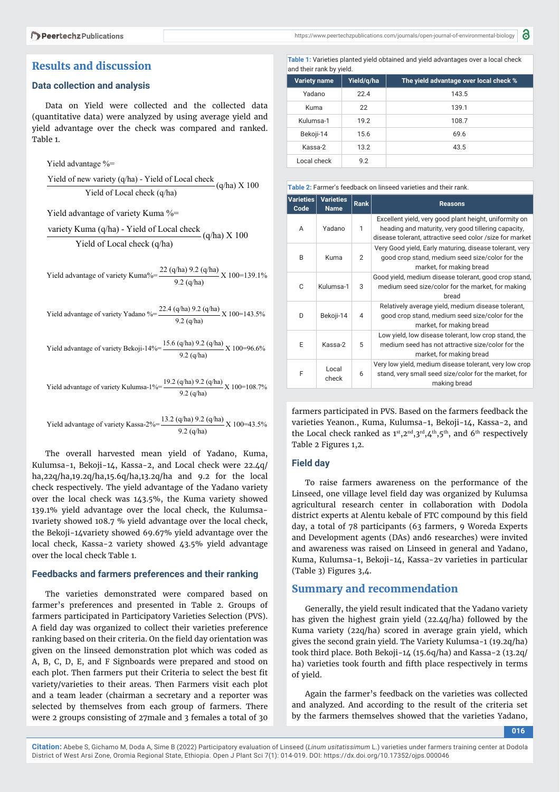# **Results and discussion**

### **Data collection and analysis**

Data on Yield were collected and the collected data (quantitative data) were analyzed by using average yield and yield advantage over the check was compared and ranked. Table 1.

Yield advantage %=

Yield of new variety  $(q/ha)$  - Yield of Local check  $(q/ha)$  X 100 Yield of Local check (q/ha)

Yield advantage of variety Kuma %=

variety Kuma (q/ha) - Yield of Local check  $(q/ha)$  X 100 Yield of Local check (q/ha)

Yield advantage of variety Kuma% =  $\frac{22 (q/ha) 9.2 (q/ha)}{9.2 (q/ha)} X 100 = 139.1\%$ 

Yield advantage of variety Yadano % =  $\frac{22.4 \text{ (q/ha)} 9.2 \text{ (q/ha)}}{9.2 \text{ (q/ha)}}$  X 100=143.5%

Yield advantage of variety Bekoji-14% =  $\frac{15.6 \text{ (q/ha)} 9.2 \text{ (q/ha)}}{9.2 \text{ (q/ha)}}$  X 100=96.6%

Yield advantage of variety Kulumsa-1%=  $\frac{19.2 \text{ (q/ha)} 9.2 \text{ (q/ha)}}{9.2 \text{ (q/ha)}}$  X 100=108.7%

Yield advantage of variety Kassa-2%=  $\frac{13.2 \text{ (q/ha)} 9.2 \text{ (q/ha)}}{9.2 \text{ (q/ha)}}$  X 100=43.5%

The overall harvested mean yield of Yadano, Kuma, Kulumsa-1, Bekoji-14, Kassa-2, and Local check were 22.4q/ ha,22q/ha,19.2q/ha,15.6q/ha,13.2q/ha and 9.2 for the local check respectively. The yield advantage of the Yadano variety over the local check was 143.5%, the Kuma variety showed 139.1% yield advantage over the local check, the Kulumsa-1variety showed 108.7 % yield advantage over the local check, the Bekoji-14variety showed 69.67% yield advantage over the local check, Kassa-2 variety showed 43.5% yield advantage over the local check Table 1.

### **Feedbacks and farmers preferences and their ranking**

The varieties demonstrated were compared based on farmer's preferences and presented in Table 2. Groups of farmers participated in Participatory Varieties Selection (PVS). A field day was organized to collect their varieties preference ranking based on their criteria. On the field day orientation was given on the linseed demonstration plot which was coded as A, B, C, D, E, and F Signboards were prepared and stood on each plot. Then farmers put their Criteria to select the best fit variety/varieties to their areas. Then Farmers visit each plot and a team leader (chairman a secretary and a reporter was selected by themselves from each group of farmers. There were 2 groups consisting of 27male and 3 females a total of 30 **Table 1:** Varieties planted yield obtained and yield advantages over a local check and their rank by yield.

| <b>Variety name</b> | Yield/g/ha | The yield advantage over local check % |  |  |  |  |
|---------------------|------------|----------------------------------------|--|--|--|--|
| Yadano              | 224        | 143.5                                  |  |  |  |  |
| Kuma                | 22         | 139.1                                  |  |  |  |  |
| Kulumsa-1           | 19.2       | 108.7                                  |  |  |  |  |
| Bekoji-14           | 15.6       | 69.6                                   |  |  |  |  |
| Kassa-2             | 13.2       | 43.5                                   |  |  |  |  |
| Local check         | 9.2        |                                        |  |  |  |  |

|  |  | Table 2: Farmer's feedback on linseed varieties and their rank. |  |  |  |
|--|--|-----------------------------------------------------------------|--|--|--|
|  |  |                                                                 |  |  |  |

| <b>Varieties</b><br>Code | <b>Varieties</b><br><b>Name</b> | <b>Rank</b>    | <b>Reasons</b>                                                                                                                                                            |
|--------------------------|---------------------------------|----------------|---------------------------------------------------------------------------------------------------------------------------------------------------------------------------|
| A                        | Yadano                          | 1              | Excellent yield, very good plant height, uniformity on<br>heading and maturity, very good tillering capacity,<br>disease tolerant, attractive seed color /size for market |
| B                        | Kuma                            | $\overline{2}$ | Very Good yield, Early maturing, disease tolerant, very<br>good crop stand, medium seed size/color for the<br>market, for making bread                                    |
| C                        | Kulumsa-1                       | 3              | Good yield, medium disease tolerant, good crop stand,<br>medium seed size/color for the market, for making<br>bread                                                       |
| D                        | Bekoji-14                       | 4              | Relatively average yield, medium disease tolerant,<br>good crop stand, medium seed size/color for the<br>market, for making bread                                         |
| E                        | Kassa-2                         | 5              | Low yield, low disease tolerant, low crop stand, the<br>medium seed has not attractive size/color for the<br>market, for making bread                                     |
| F                        | Local<br>check                  | 6              | Very low yield, medium disease tolerant, very low crop<br>stand, very small seed size/color for the market, for<br>making bread                                           |

farmers participated in PVS. Based on the farmers feedback the varieties Yeanon., Kuma, Kulumsa-1, Bekoji-14, Kassa-2, and the Local check ranked as  $1^{st}$ ,  $2^{nd}$ ,  $3^{rd}$ ,  $4^{th}$ ,  $5^{th}$ , and  $6^{th}$  respectively Table 2 Figures 1,2.

#### **Field day**

To raise farmers awareness on the performance of the Linseed, one village level field day was organized by Kulumsa agricultural research center in collaboration with Dodola district experts at Alentu kebale of FTC compound by this field day, a total of 78 participants (63 farmers, 9 Woreda Experts and Development agents (DAs) and6 researches) were invited and awareness was raised on Linseed in general and Yadano, Kuma, Kulumsa-1, Bekoji-14, Kassa-2v varieties in particular (Table 3) Figures 3,4.

### **Summary and recommendation**

Generally, the yield result indicated that the Yadano variety has given the highest grain yield (22.4q/ha) followed by the Kuma variety (22q/ha) scored in average grain yield, which gives the second grain yield. The Variety Kulumsa-1 (19.2q/ha) took third place. Both Bekoji-14 (15.6q/ha) and Kassa-2 (13.2q/ ha) varieties took fourth and fifth place respectively in terms of yield.

Again the farmer's feedback on the varieties was collected and analyzed. And according to the result of the criteria set by the farmers themselves showed that the varieties Yadano,

**016**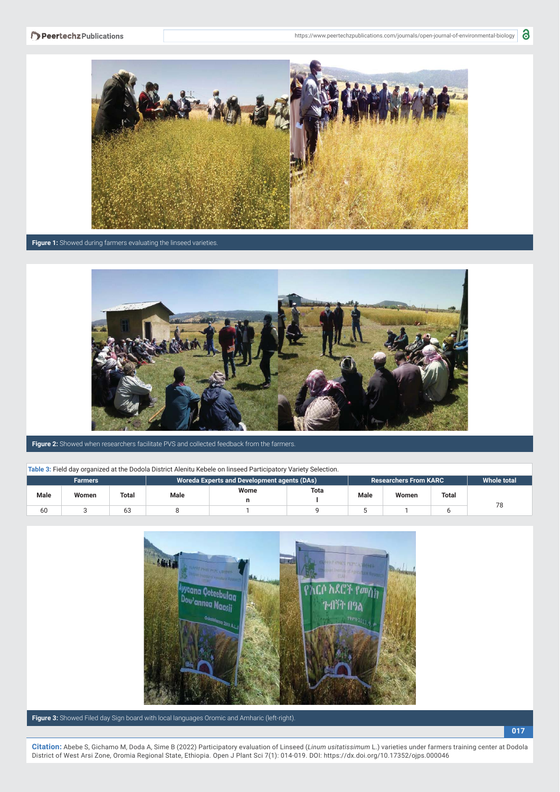

**Figure 1:** Showed during farmers evaluating the linseed varieties.



**Figure 2:** Showed when researchers facilitate PVS and collected feedback from the farmers.

#### **Table 3:** Field day organized at the Dodola District Alenitu Kebele on linseed Participatory Variety Selection.

| <b>There</b> are noted any organization at the products prothece monitor reports on influence retrieval and the conservation |       |       |                                             |      |             |             |                                |                    |    |  |
|------------------------------------------------------------------------------------------------------------------------------|-------|-------|---------------------------------------------|------|-------------|-------------|--------------------------------|--------------------|----|--|
| <b>Farmers</b>                                                                                                               |       |       | Woreda Experts and Development agents (DAs) |      |             |             | <b>Researchers From KARC '</b> | <b>Whole total</b> |    |  |
| <b>Male</b>                                                                                                                  | Women | Total | Male                                        | Wome | <b>Tota</b> | <b>Male</b> | Women                          | Total              |    |  |
| 60                                                                                                                           |       |       |                                             |      |             |             |                                |                    | 78 |  |



**Figure 3:** Showed Filed day Sign board with local languages Oromic and Amharic (left-right).

**017**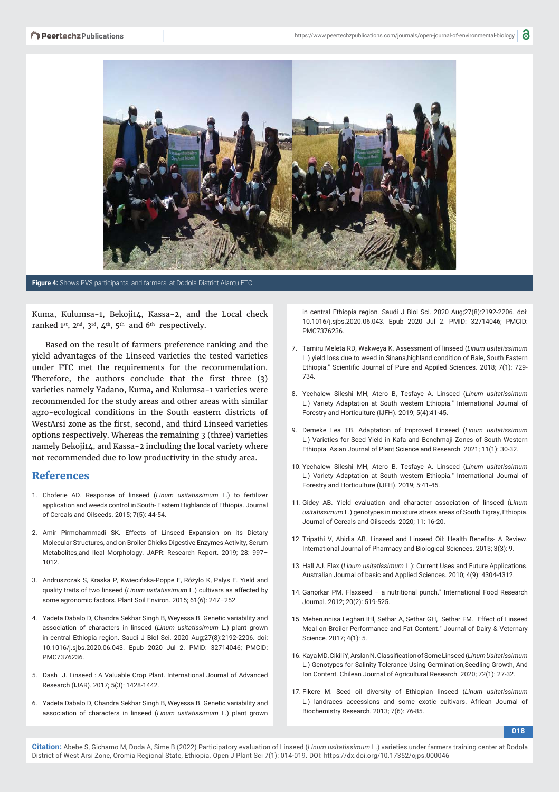

**Figure 4:** Shows PVS participants, and farmers, at Dodola District Alantu FTC.

Kuma, Kulumsa-1, Bekoji14, Kassa-2, and the Local check ranked  $1^{st}$ ,  $2^{nd}$ ,  $3^{rd}$ ,  $4^{th}$ ,  $5^{th}$  and  $6^{th}$  respectively.

Based on the result of farmers preference ranking and the yield advantages of the Linseed varieties the tested varieties under FTC met the requirements for the recommendation. Therefore, the authors conclude that the first three  $(3)$ varieties namely Yadano, Kuma, and Kulumsa-1 varieties were recommended for the study areas and other areas with similar agro-ecological conditions in the South eastern districts of WestArsi zone as the first, second, and third Linseed varieties options respectively. Whereas the remaining 3 (three) varieties namely Bekoji14, and Kassa-2 including the local variety where not recommended due to low productivity in the study area.

### **References**

- 1. Choferie AD. Response of linseed (*Linum usitatissimum* L.) to fertilizer application and weeds control in South- Eastern Highlands of Ethiopia. Journal of Cereals and Oilseeds. 2015; 7(5): 44-54.
- 2. Amir Pirmohammadi SK. Effects of Linseed Expansion on its Dietary Molecular Structures, and on Broiler Chicks Digestive Enzymes Activity, Serum Metabolites,and Ileal Morphology. JAPR: Research Report. 2019; 28: 997– 1012.
- 3. Andruszczak S, Kraska P, Kwiecińska-Poppe E, Różyło K, Pałys E. Yield and quality traits of two linseed (*Linum usitatissimum* L.) cultivars as affected by some agronomic factors. Plant Soil Environ. 2015; 61(6): 247–252.
- 4. Yadeta Dabalo D, Chandra Sekhar Singh B, Weyessa B. Genetic variability and association of characters in linseed (*Linum usitatissimum* L.) plant grown in central Ethiopia region. Saudi J Biol Sci. 2020 Aug;27(8):2192-2206. doi: 10.1016/j.sjbs.2020.06.043. Epub 2020 Jul 2. PMID: 32714046; PMCID: PMC7376236.
- 5. Dash J. Linseed : A Valuable Crop Plant. International Journal of Advanced Research (IJAR). 2017; 5(3): 1428-1442.
- 6. Yadeta Dabalo D, Chandra Sekhar Singh B, Weyessa B. Genetic variability and association of characters in linseed (*Linum usitatissimum* L.) plant grown

in central Ethiopia region. Saudi J Biol Sci. 2020 Aug;27(8):2192-2206. doi: 10.1016/j.sjbs.2020.06.043. Epub 2020 Jul 2. PMID: 32714046; PMCID: PMC7376236.

- 7. Tamiru Meleta RD, Wakweya K. Assessment of linseed (*Linum usitatissimum*  L.) yield loss due to weed in Sinana,highland condition of Bale, South Eastern Ethiopia." Scientific Journal of Pure and Appiled Sciences. 2018; 7(1): 729-734.
- 8. Yechalew Sileshi MH, Atero B, Tesfaye A. Linseed (*Linum usitatissimum*  L.) Variety Adaptation at South western Ethiopia." International Journal of Forestry and Horticulture (IJFH). 2019; 5(4):41-45.
- 9. Demeke Lea TB. Adaptation of Improved Linseed (*Linum usitatissimum*  L.) Varieties for Seed Yield in Kafa and Benchmaji Zones of South Western Ethiopia. Asian Journal of Plant Science and Research. 2021; 11(1): 30-32.
- 10. Yechalew Sileshi MH, Atero B, Tesfaye A. Linseed (*Linum usitatissimum*  L.) Variety Adaptation at South western Ethiopia." International Journal of Forestry and Horticulture (IJFH). 2019; 5:41-45.
- 11. Gidey AB. Yield evaluation and character association of linseed (*Linum usitatissimum* L.) genotypes in moisture stress areas of South Tigray, Ethiopia. Journal of Cereals and Oilseeds. 2020; 11: 16-20.
- 12. Tripathi V, Abidia AB. Linseed and Linseed Oil: Health Benefits- A Review. International Journal of Pharmacy and Biological Sciences. 2013; 3(3): 9.
- 13. Hall AJ. Flax (*Linum usitatissimum* L.): Current Uses and Future Applications. Australian Journal of basic and Applied Sciences. 2010; 4(9): 4304-4312.
- 14. Ganorkar PM. Flaxseed a nutritional punch." International Food Research Journal. 2012; 20(2): 519-525.
- 15. Meherunnisa Leghari IHl, Sethar A, Sethar GH, Sethar FM. Effect of Linseed Meal on Broiler Performance and Fat Content." Journal of Dairy & Veternary Science. 2017; 4(1): 5.
- 16. Kaya MD, Cikili Y, Arslan N. Classifi cation of Some Linseed (*Linum Usitatissimum*  L.) Genotypes for Salinity Tolerance Using Germination,Seedling Growth, And Ion Content. Chilean Journal of Agricultural Research. 2020; 72(1): 27-32.
- 17. Fikere M. Seed oil diversity of Ethiopian linseed (*Linum usitatissimum*  L.) landraces accessions and some exotic cultivars. African Journal of Biochemistry Research. 2013; 7(6): 76-85.

**018**